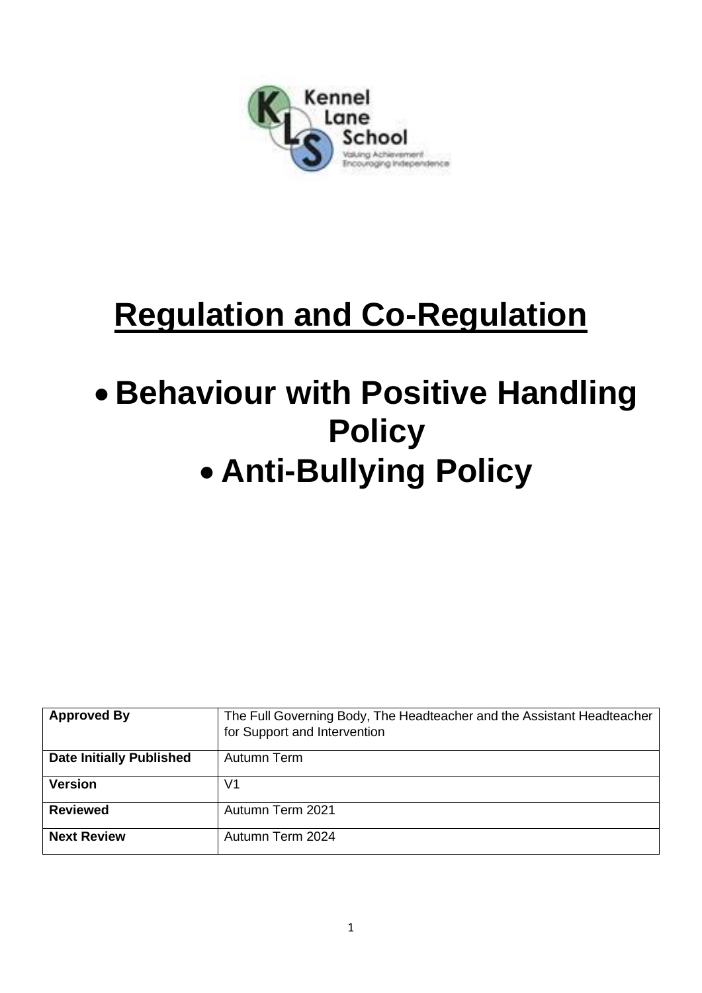

# **Regulation and Co-Regulation**

# • **Behaviour with Positive Handling Policy** • **Anti-Bullying Policy**

| <b>Approved By</b>              | The Full Governing Body, The Headteacher and the Assistant Headteacher<br>for Support and Intervention |
|---------------------------------|--------------------------------------------------------------------------------------------------------|
| <b>Date Initially Published</b> | Autumn Term                                                                                            |
| <b>Version</b>                  | V1                                                                                                     |
| <b>Reviewed</b>                 | Autumn Term 2021                                                                                       |
| <b>Next Review</b>              | Autumn Term 2024                                                                                       |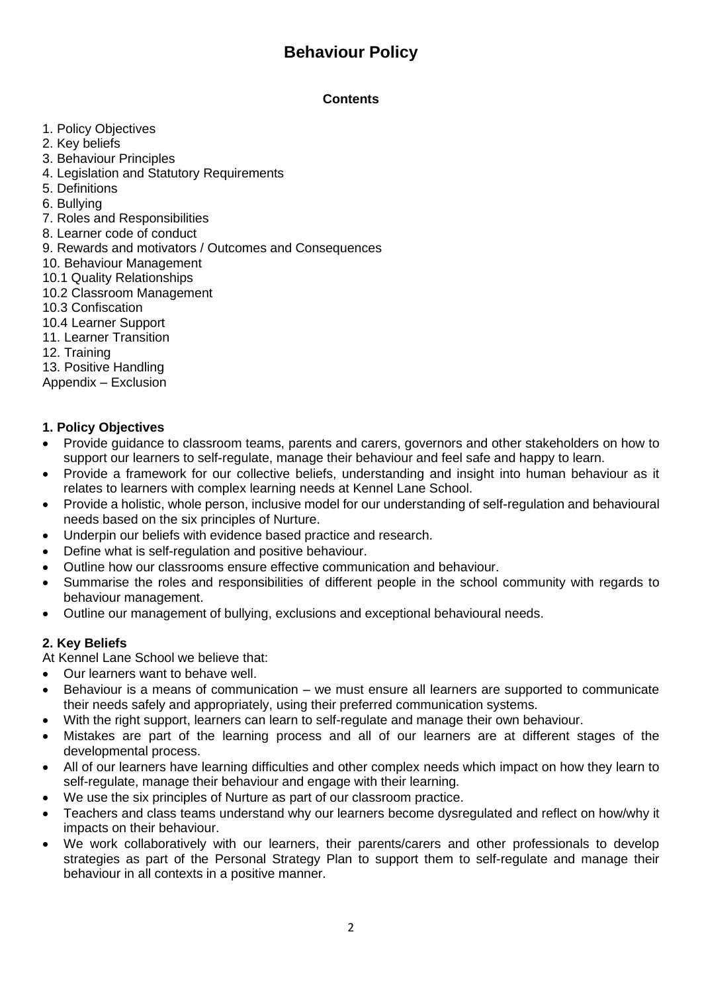# **Behaviour Policy**

## **Contents**

- 1. Policy Objectives
- 2. Key beliefs
- 3. Behaviour Principles
- 4. Legislation and Statutory Requirements
- 5. Definitions
- 6. Bullying
- 7. Roles and Responsibilities
- 8. Learner code of conduct
- 9. Rewards and motivators / Outcomes and Consequences
- 10. Behaviour Management
- 10.1 Quality Relationships
- 10.2 Classroom Management
- 10.3 Confiscation
- 10.4 Learner Support
- 11. Learner Transition
- 12. Training
- 13. Positive Handling
- Appendix Exclusion

## **1. Policy Objectives**

- Provide guidance to classroom teams, parents and carers, governors and other stakeholders on how to support our learners to self-regulate, manage their behaviour and feel safe and happy to learn.
- Provide a framework for our collective beliefs, understanding and insight into human behaviour as it relates to learners with complex learning needs at Kennel Lane School.
- Provide a holistic, whole person, inclusive model for our understanding of self-regulation and behavioural needs based on the six principles of Nurture.
- Underpin our beliefs with evidence based practice and research.
- Define what is self-regulation and positive behaviour.
- Outline how our classrooms ensure effective communication and behaviour.
- Summarise the roles and responsibilities of different people in the school community with regards to behaviour management.
- Outline our management of bullying, exclusions and exceptional behavioural needs.

## **2. Key Beliefs**

- At Kennel Lane School we believe that:
- Our learners want to behave well.
- Behaviour is a means of communication we must ensure all learners are supported to communicate their needs safely and appropriately, using their preferred communication systems.
- With the right support, learners can learn to self-regulate and manage their own behaviour.
- Mistakes are part of the learning process and all of our learners are at different stages of the developmental process.
- All of our learners have learning difficulties and other complex needs which impact on how they learn to self-regulate, manage their behaviour and engage with their learning.
- We use the six principles of Nurture as part of our classroom practice.
- Teachers and class teams understand why our learners become dysregulated and reflect on how/why it impacts on their behaviour.
- We work collaboratively with our learners, their parents/carers and other professionals to develop strategies as part of the Personal Strategy Plan to support them to self-regulate and manage their behaviour in all contexts in a positive manner.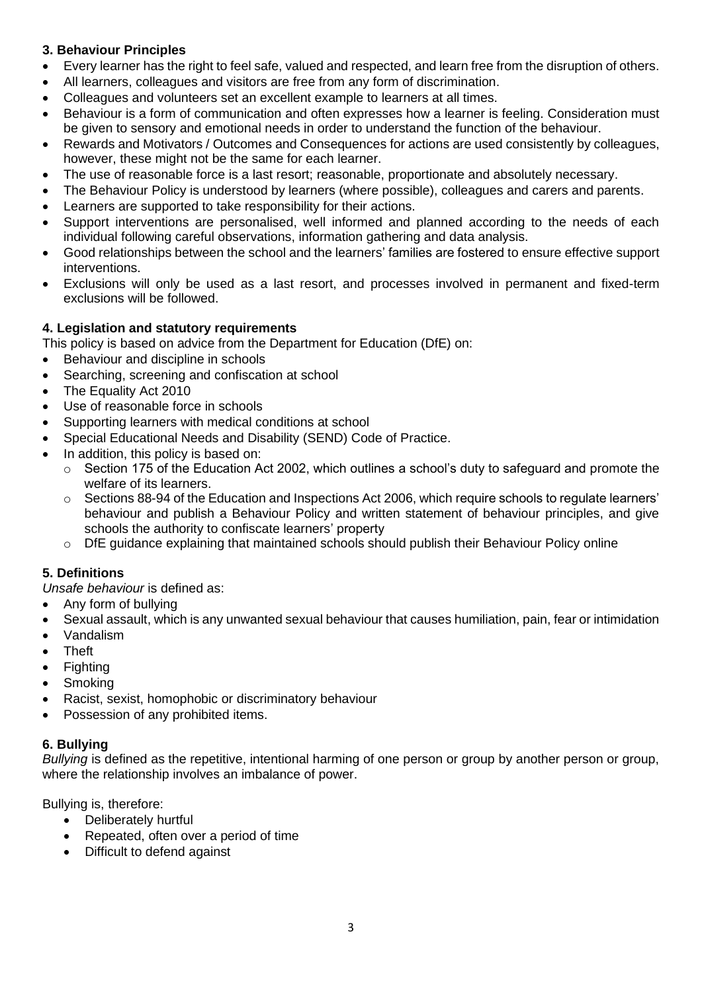## **3. Behaviour Principles**

- Every learner has the right to feel safe, valued and respected, and learn free from the disruption of others.
- All learners, colleagues and visitors are free from any form of discrimination.
- Colleagues and volunteers set an excellent example to learners at all times.
- Behaviour is a form of communication and often expresses how a learner is feeling. Consideration must be given to sensory and emotional needs in order to understand the function of the behaviour.
- Rewards and Motivators / Outcomes and Consequences for actions are used consistently by colleagues, however, these might not be the same for each learner.
- The use of reasonable force is a last resort; reasonable, proportionate and absolutely necessary.
- The Behaviour Policy is understood by learners (where possible), colleagues and carers and parents.
- Learners are supported to take responsibility for their actions.
- Support interventions are personalised, well informed and planned according to the needs of each individual following careful observations, information gathering and data analysis.
- Good relationships between the school and the learners' families are fostered to ensure effective support interventions.
- Exclusions will only be used as a last resort, and processes involved in permanent and fixed-term exclusions will be followed.

## **4. Legislation and statutory requirements**

This policy is based on advice from the Department for Education (DfE) on:

- Behaviour and discipline in schools
- Searching, screening and confiscation at school
- The Equality Act 2010
- Use of reasonable force in schools
- Supporting learners with medical conditions at school
- Special Educational Needs and Disability (SEND) Code of Practice.
- In addition, this policy is based on:
	- o Section 175 of the Education Act 2002, which outlines a school's duty to safeguard and promote the welfare of its learners.
	- o Sections 88-94 of the Education and Inspections Act 2006, which require schools to regulate learners' behaviour and publish a Behaviour Policy and written statement of behaviour principles, and give schools the authority to confiscate learners' property
	- o DfE guidance explaining that maintained schools should publish their Behaviour Policy online

## **5. Definitions**

*Unsafe behaviour* is defined as:

- Any form of bullying
- Sexual assault, which is any unwanted sexual behaviour that causes humiliation, pain, fear or intimidation
- Vandalism
- **Theft**
- **Fighting**
- **Smoking**
- Racist, sexist, homophobic or discriminatory behaviour
- Possession of any prohibited items.

## **6. Bullying**

*Bullying* is defined as the repetitive, intentional harming of one person or group by another person or group, where the relationship involves an imbalance of power.

Bullying is, therefore:

- Deliberately hurtful
- Repeated, often over a period of time
- Difficult to defend against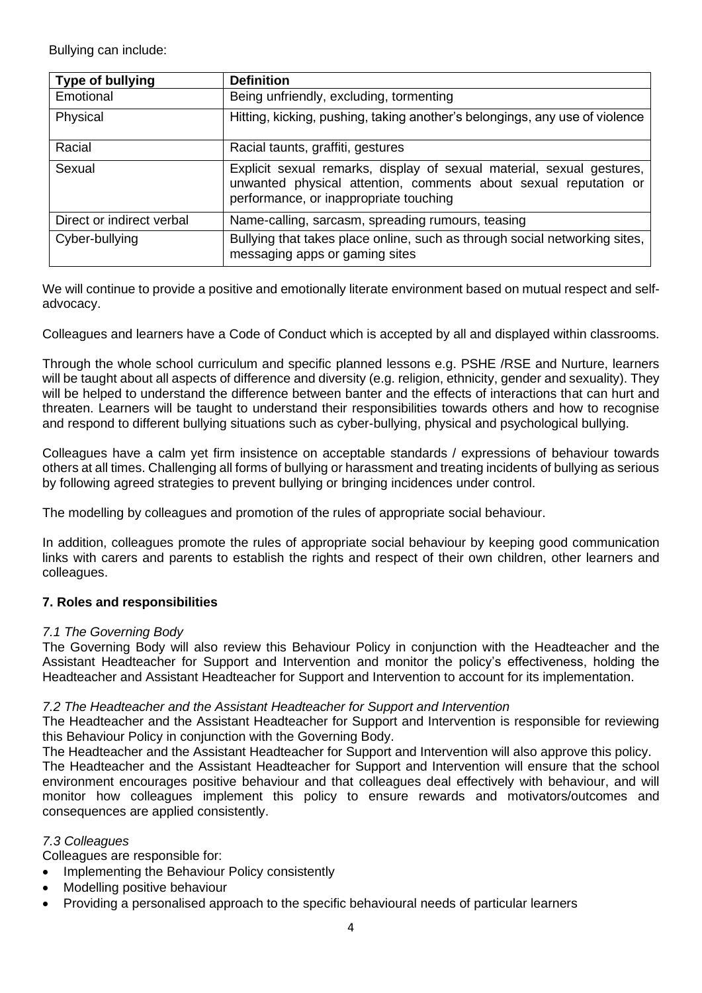Bullying can include:

| Type of bullying          | <b>Definition</b>                                                                                                                                                                   |
|---------------------------|-------------------------------------------------------------------------------------------------------------------------------------------------------------------------------------|
| Emotional                 | Being unfriendly, excluding, tormenting                                                                                                                                             |
| Physical                  | Hitting, kicking, pushing, taking another's belongings, any use of violence                                                                                                         |
| Racial                    | Racial taunts, graffiti, gestures                                                                                                                                                   |
| Sexual                    | Explicit sexual remarks, display of sexual material, sexual gestures,<br>unwanted physical attention, comments about sexual reputation or<br>performance, or inappropriate touching |
| Direct or indirect verbal | Name-calling, sarcasm, spreading rumours, teasing                                                                                                                                   |
| Cyber-bullying            | Bullying that takes place online, such as through social networking sites,<br>messaging apps or gaming sites                                                                        |

We will continue to provide a positive and emotionally literate environment based on mutual respect and selfadvocacy.

Colleagues and learners have a Code of Conduct which is accepted by all and displayed within classrooms.

Through the whole school curriculum and specific planned lessons e.g. PSHE /RSE and Nurture, learners will be taught about all aspects of difference and diversity (e.g. religion, ethnicity, gender and sexuality). They will be helped to understand the difference between banter and the effects of interactions that can hurt and threaten. Learners will be taught to understand their responsibilities towards others and how to recognise and respond to different bullying situations such as cyber-bullying, physical and psychological bullying.

Colleagues have a calm yet firm insistence on acceptable standards / expressions of behaviour towards others at all times. Challenging all forms of bullying or harassment and treating incidents of bullying as serious by following agreed strategies to prevent bullying or bringing incidences under control.

The modelling by colleagues and promotion of the rules of appropriate social behaviour.

In addition, colleagues promote the rules of appropriate social behaviour by keeping good communication links with carers and parents to establish the rights and respect of their own children, other learners and colleagues.

## **7. Roles and responsibilities**

## *7.1 The Governing Body*

The Governing Body will also review this Behaviour Policy in conjunction with the Headteacher and the Assistant Headteacher for Support and Intervention and monitor the policy's effectiveness, holding the Headteacher and Assistant Headteacher for Support and Intervention to account for its implementation.

## *7.2 The Headteacher and the Assistant Headteacher for Support and Intervention*

The Headteacher and the Assistant Headteacher for Support and Intervention is responsible for reviewing this Behaviour Policy in conjunction with the Governing Body.

The Headteacher and the Assistant Headteacher for Support and Intervention will also approve this policy. The Headteacher and the Assistant Headteacher for Support and Intervention will ensure that the school environment encourages positive behaviour and that colleagues deal effectively with behaviour, and will monitor how colleagues implement this policy to ensure rewards and motivators/outcomes and consequences are applied consistently.

## *7.3 Colleagues*

Colleagues are responsible for:

- Implementing the Behaviour Policy consistently
- Modelling positive behaviour
- Providing a personalised approach to the specific behavioural needs of particular learners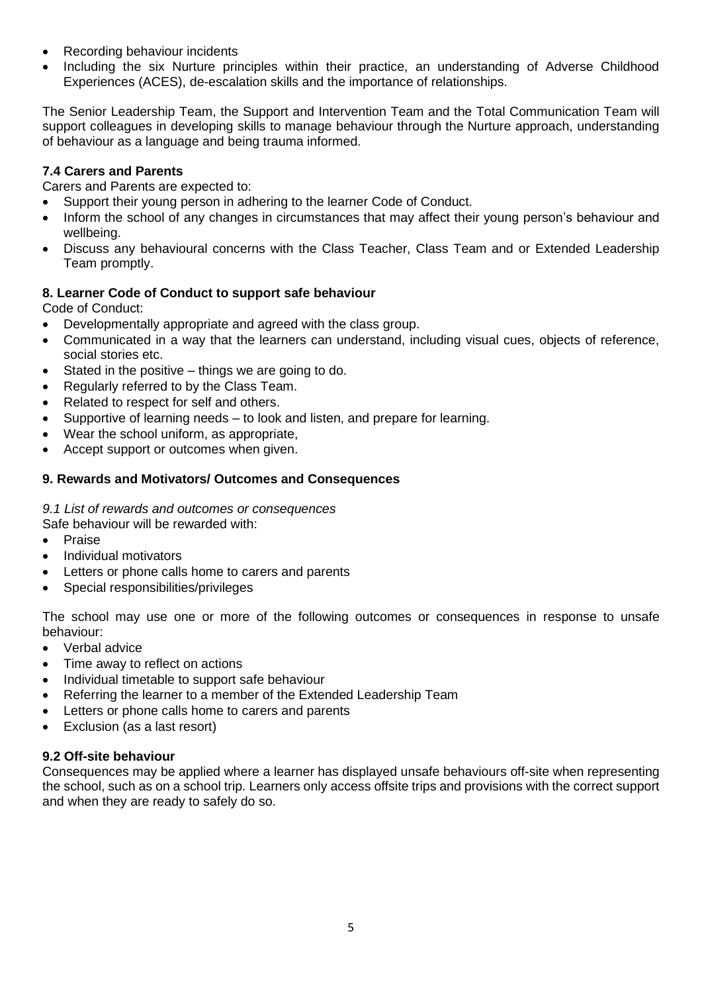- Recording behaviour incidents
- Including the six Nurture principles within their practice, an understanding of Adverse Childhood Experiences (ACES), de-escalation skills and the importance of relationships.

The Senior Leadership Team, the Support and Intervention Team and the Total Communication Team will support colleagues in developing skills to manage behaviour through the Nurture approach, understanding of behaviour as a language and being trauma informed.

## **7.4 Carers and Parents**

Carers and Parents are expected to:

- Support their young person in adhering to the learner Code of Conduct.
- Inform the school of any changes in circumstances that may affect their young person's behaviour and wellbeing.
- Discuss any behavioural concerns with the Class Teacher, Class Team and or Extended Leadership Team promptly.

## **8. Learner Code of Conduct to support safe behaviour**

Code of Conduct:

- Developmentally appropriate and agreed with the class group.
- Communicated in a way that the learners can understand, including visual cues, objects of reference, social stories etc.
- Stated in the positive things we are going to do.
- Regularly referred to by the Class Team.
- Related to respect for self and others.
- Supportive of learning needs to look and listen, and prepare for learning.
- Wear the school uniform, as appropriate,
- Accept support or outcomes when given.

## **9. Rewards and Motivators/ Outcomes and Consequences**

## *9.1 List of rewards and outcomes or consequences*

Safe behaviour will be rewarded with:

- Praise
- Individual motivators
- Letters or phone calls home to carers and parents
- Special responsibilities/privileges

The school may use one or more of the following outcomes or consequences in response to unsafe behaviour:

- Verbal advice
- Time away to reflect on actions
- Individual timetable to support safe behaviour
- Referring the learner to a member of the Extended Leadership Team
- Letters or phone calls home to carers and parents
- Exclusion (as a last resort)

## **9.2 Off-site behaviour**

Consequences may be applied where a learner has displayed unsafe behaviours off-site when representing the school, such as on a school trip. Learners only access offsite trips and provisions with the correct support and when they are ready to safely do so.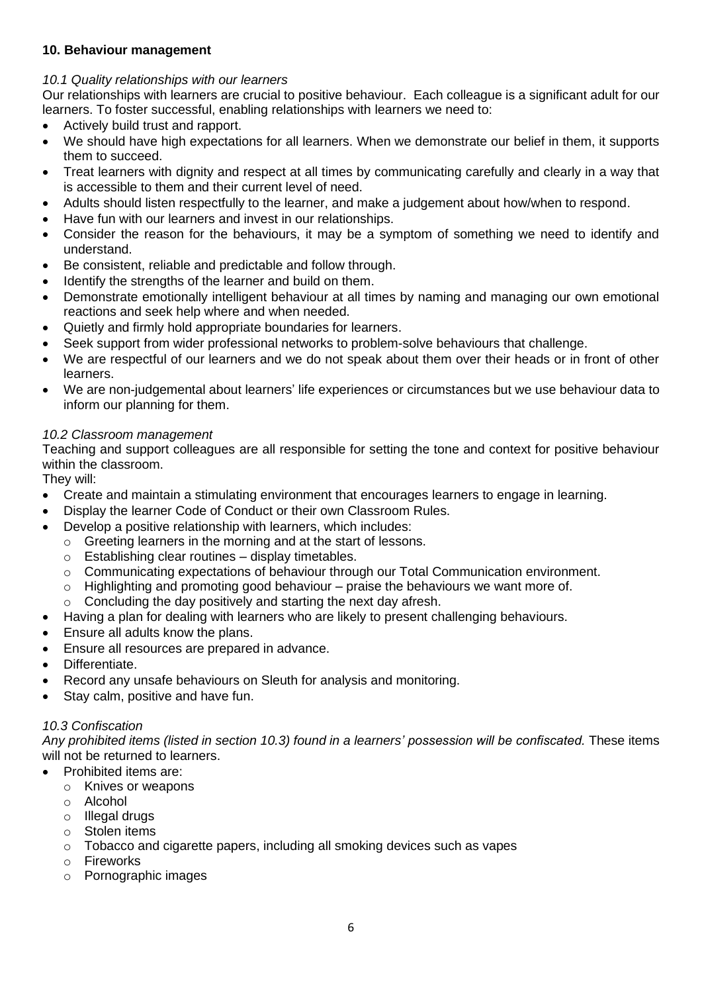## **10. Behaviour management**

## *10.1 Quality relationships with our learners*

Our relationships with learners are crucial to positive behaviour. Each colleague is a significant adult for our learners. To foster successful, enabling relationships with learners we need to:

- Actively build trust and rapport.
- We should have high expectations for all learners. When we demonstrate our belief in them, it supports them to succeed.
- Treat learners with dignity and respect at all times by communicating carefully and clearly in a way that is accessible to them and their current level of need.
- Adults should listen respectfully to the learner, and make a judgement about how/when to respond.
- Have fun with our learners and invest in our relationships.
- Consider the reason for the behaviours, it may be a symptom of something we need to identify and understand.
- Be consistent, reliable and predictable and follow through.
- Identify the strengths of the learner and build on them.
- Demonstrate emotionally intelligent behaviour at all times by naming and managing our own emotional reactions and seek help where and when needed.
- Quietly and firmly hold appropriate boundaries for learners.
- Seek support from wider professional networks to problem-solve behaviours that challenge.
- We are respectful of our learners and we do not speak about them over their heads or in front of other learners.
- We are non-judgemental about learners' life experiences or circumstances but we use behaviour data to inform our planning for them.

## *10.2 Classroom management*

Teaching and support colleagues are all responsible for setting the tone and context for positive behaviour within the classroom.

They will:

- Create and maintain a stimulating environment that encourages learners to engage in learning.
- Display the learner Code of Conduct or their own Classroom Rules.
- Develop a positive relationship with learners, which includes:
	- o Greeting learners in the morning and at the start of lessons.
	- $\circ$  Establishing clear routines display timetables.
	- $\circ$  Communicating expectations of behaviour through our Total Communication environment.
	- o Highlighting and promoting good behaviour praise the behaviours we want more of.
	- o Concluding the day positively and starting the next day afresh.
- Having a plan for dealing with learners who are likely to present challenging behaviours.
- Ensure all adults know the plans.
- Ensure all resources are prepared in advance.
- Differentiate.
- Record any unsafe behaviours on Sleuth for analysis and monitoring.
- Stay calm, positive and have fun.

## *10.3 Confiscation*

*Any prohibited items (listed in section 10.3) found in a learners' possession will be confiscated.* These items will not be returned to learners.

- Prohibited items are:
	- o Knives or weapons
	- o Alcohol
	- o Illegal drugs
	- o Stolen items
	- $\circ$  Tobacco and cigarette papers, including all smoking devices such as vapes
	- o Fireworks
	- o Pornographic images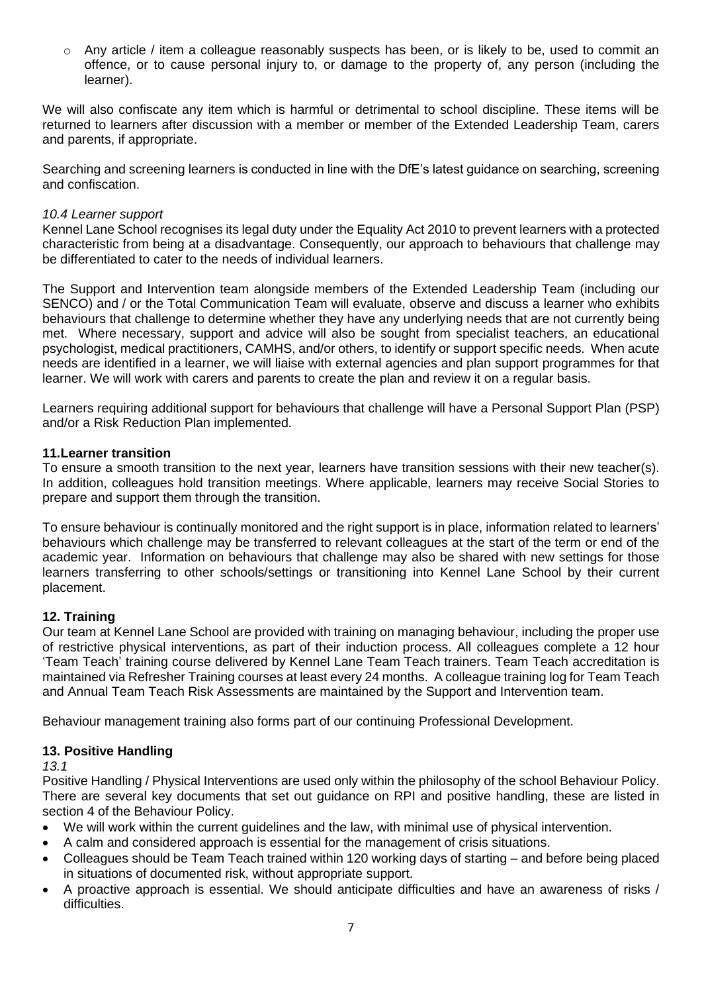$\circ$  Any article / item a colleague reasonably suspects has been, or is likely to be, used to commit an offence, or to cause personal injury to, or damage to the property of, any person (including the learner).

We will also confiscate any item which is harmful or detrimental to school discipline. These items will be returned to learners after discussion with a member or member of the Extended Leadership Team, carers and parents, if appropriate.

Searching and screening learners is conducted in line with the DfE's latest guidance on searching, screening and confiscation.

#### *10.4 Learner support*

Kennel Lane School recognises its legal duty under the Equality Act 2010 to prevent learners with a protected characteristic from being at a disadvantage. Consequently, our approach to behaviours that challenge may be differentiated to cater to the needs of individual learners.

The Support and Intervention team alongside members of the Extended Leadership Team (including our SENCO) and / or the Total Communication Team will evaluate, observe and discuss a learner who exhibits behaviours that challenge to determine whether they have any underlying needs that are not currently being met. Where necessary, support and advice will also be sought from specialist teachers, an educational psychologist, medical practitioners, CAMHS, and/or others, to identify or support specific needs. When acute needs are identified in a learner, we will liaise with external agencies and plan support programmes for that learner. We will work with carers and parents to create the plan and review it on a regular basis.

Learners requiring additional support for behaviours that challenge will have a Personal Support Plan (PSP) and/or a Risk Reduction Plan implemented.

#### **11.Learner transition**

To ensure a smooth transition to the next year, learners have transition sessions with their new teacher(s). In addition, colleagues hold transition meetings. Where applicable, learners may receive Social Stories to prepare and support them through the transition.

To ensure behaviour is continually monitored and the right support is in place, information related to learners' behaviours which challenge may be transferred to relevant colleagues at the start of the term or end of the academic year. Information on behaviours that challenge may also be shared with new settings for those learners transferring to other schools/settings or transitioning into Kennel Lane School by their current placement.

## **12. Training**

Our team at Kennel Lane School are provided with training on managing behaviour, including the proper use of restrictive physical interventions, as part of their induction process. All colleagues complete a 12 hour 'Team Teach' training course delivered by Kennel Lane Team Teach trainers. Team Teach accreditation is maintained via Refresher Training courses at least every 24 months. A colleague training log for Team Teach and Annual Team Teach Risk Assessments are maintained by the Support and Intervention team.

Behaviour management training also forms part of our continuing Professional Development.

## **13. Positive Handling**

*13.1* 

Positive Handling / Physical Interventions are used only within the philosophy of the school Behaviour Policy. There are several key documents that set out guidance on RPI and positive handling, these are listed in section 4 of the Behaviour Policy.

- We will work within the current guidelines and the law, with minimal use of physical intervention.
- A calm and considered approach is essential for the management of crisis situations.
- Colleagues should be Team Teach trained within 120 working days of starting and before being placed in situations of documented risk, without appropriate support.
- A proactive approach is essential. We should anticipate difficulties and have an awareness of risks / difficulties.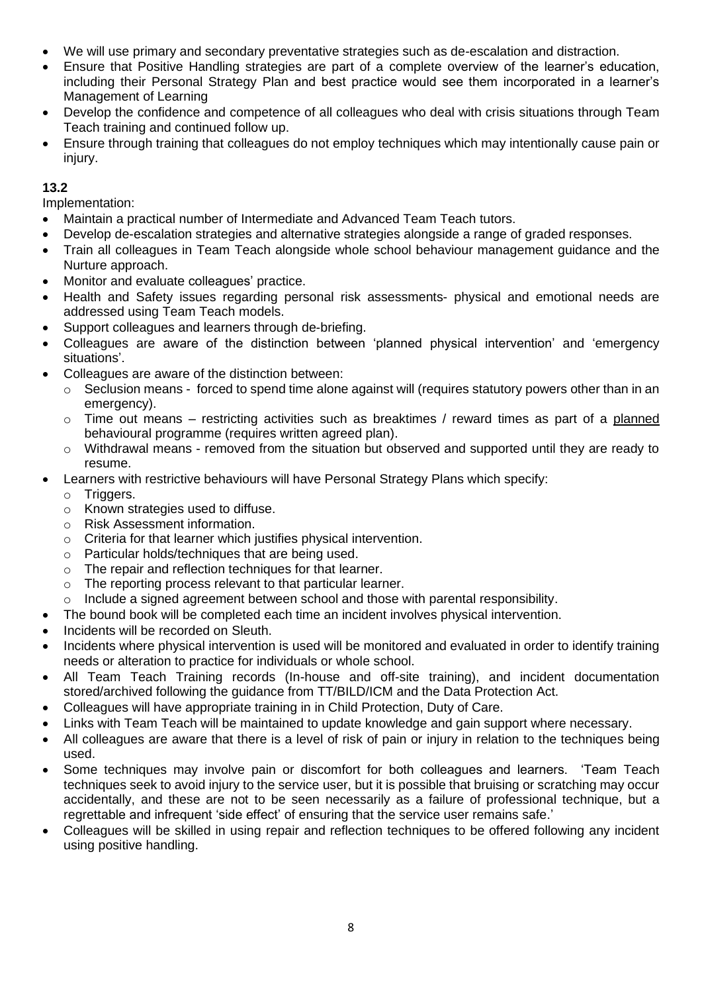- We will use primary and secondary preventative strategies such as de-escalation and distraction.
- Ensure that Positive Handling strategies are part of a complete overview of the learner's education, including their Personal Strategy Plan and best practice would see them incorporated in a learner's Management of Learning
- Develop the confidence and competence of all colleagues who deal with crisis situations through Team Teach training and continued follow up.
- Ensure through training that colleagues do not employ techniques which may intentionally cause pain or injury.

## **13.2**

Implementation:

- Maintain a practical number of Intermediate and Advanced Team Teach tutors.
- Develop de-escalation strategies and alternative strategies alongside a range of graded responses.
- Train all colleagues in Team Teach alongside whole school behaviour management guidance and the Nurture approach.
- Monitor and evaluate colleagues' practice.
- Health and Safety issues regarding personal risk assessments- physical and emotional needs are addressed using Team Teach models.
- Support colleagues and learners through de-briefing.
- Colleagues are aware of the distinction between 'planned physical intervention' and 'emergency situations'.
- Colleagues are aware of the distinction between:
	- $\circ$  Seclusion means forced to spend time alone against will (requires statutory powers other than in an emergency).
	- $\circ$  Time out means restricting activities such as breaktimes / reward times as part of a planned behavioural programme (requires written agreed plan).
	- o Withdrawal means removed from the situation but observed and supported until they are ready to resume.
- Learners with restrictive behaviours will have Personal Strategy Plans which specify:
	- o Triggers.
	- o Known strategies used to diffuse.
	- o Risk Assessment information.
	- $\circ$  Criteria for that learner which justifies physical intervention.
	- o Particular holds/techniques that are being used.
	- o The repair and reflection techniques for that learner.
	- o The reporting process relevant to that particular learner.
	- $\circ$  Include a signed agreement between school and those with parental responsibility.
- The bound book will be completed each time an incident involves physical intervention.
- Incidents will be recorded on Sleuth.
- Incidents where physical intervention is used will be monitored and evaluated in order to identify training needs or alteration to practice for individuals or whole school.
- All Team Teach Training records (In-house and off-site training), and incident documentation stored/archived following the guidance from TT/BILD/ICM and the Data Protection Act.
- Colleagues will have appropriate training in in Child Protection, Duty of Care.
- Links with Team Teach will be maintained to update knowledge and gain support where necessary.
- All colleagues are aware that there is a level of risk of pain or injury in relation to the techniques being used.
- Some techniques may involve pain or discomfort for both colleagues and learners. 'Team Teach techniques seek to avoid injury to the service user, but it is possible that bruising or scratching may occur accidentally, and these are not to be seen necessarily as a failure of professional technique, but a regrettable and infrequent 'side effect' of ensuring that the service user remains safe.'
- Colleagues will be skilled in using repair and reflection techniques to be offered following any incident using positive handling.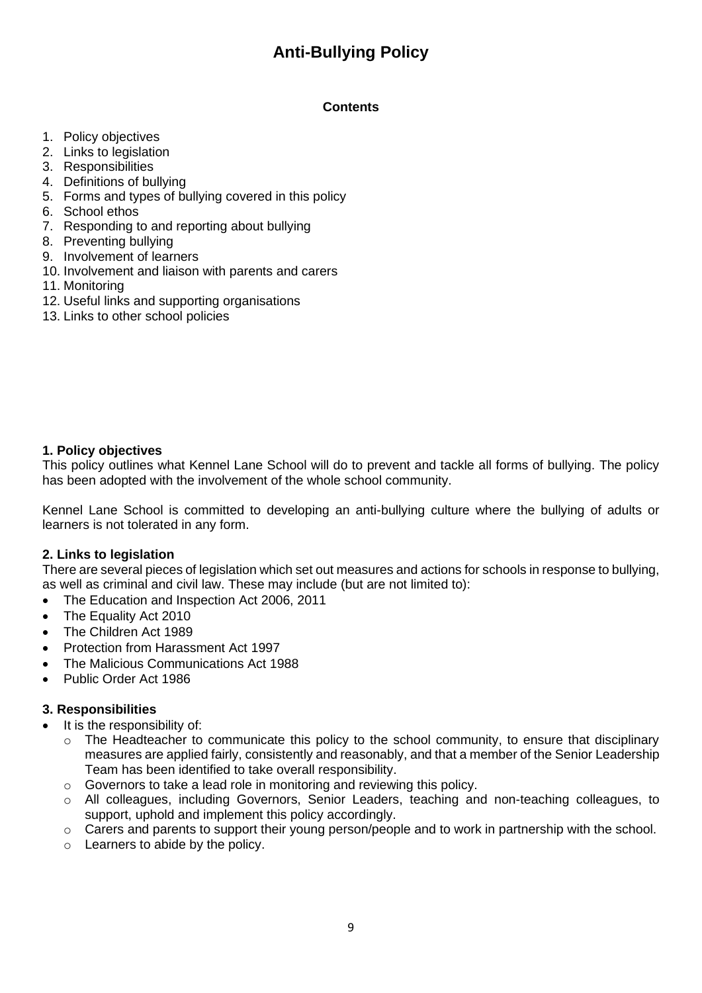# **Anti-Bullying Policy**

## **Contents**

- 1. Policy objectives
- 2. Links to legislation
- 3. Responsibilities
- 4. Definitions of bullying
- 5. Forms and types of bullying covered in this policy
- 6. School ethos
- 7. Responding to and reporting about bullying
- 8. Preventing bullying
- 9. Involvement of learners
- 10. Involvement and liaison with parents and carers
- 11. Monitoring
- 12. Useful links and supporting organisations
- 13. Links to other school policies

## **1. Policy objectives**

This policy outlines what Kennel Lane School will do to prevent and tackle all forms of bullying. The policy has been adopted with the involvement of the whole school community.

Kennel Lane School is committed to developing an anti-bullying culture where the bullying of adults or learners is not tolerated in any form.

## **2. Links to legislation**

There are several pieces of legislation which set out measures and actions for schools in response to bullying, as well as criminal and civil law. These may include (but are not limited to):

- The Education and Inspection Act 2006, 2011
- The Equality Act 2010
- The Children Act 1989
- Protection from Harassment Act 1997
- The Malicious Communications Act 1988
- Public Order Act 1986

## **3. Responsibilities**

- It is the responsibility of:
	- $\circ$  The Headteacher to communicate this policy to the school community, to ensure that disciplinary measures are applied fairly, consistently and reasonably, and that a member of the Senior Leadership Team has been identified to take overall responsibility.
	- o Governors to take a lead role in monitoring and reviewing this policy.
	- o All colleagues, including Governors, Senior Leaders, teaching and non-teaching colleagues, to support, uphold and implement this policy accordingly.
	- o Carers and parents to support their young person/people and to work in partnership with the school.
	- o Learners to abide by the policy.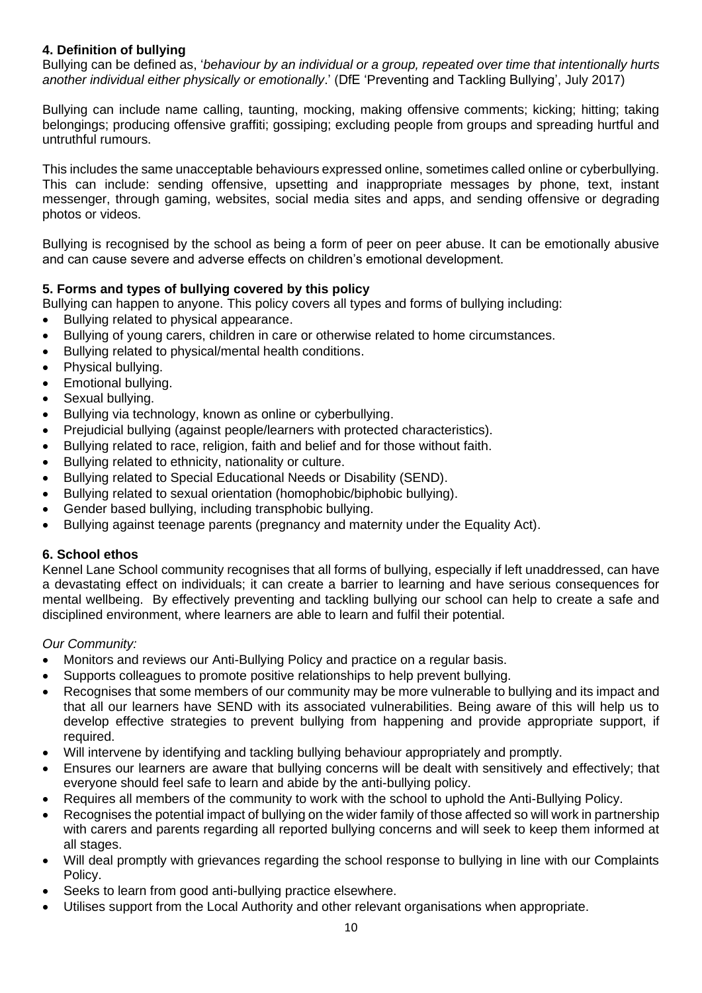## **4. Definition of bullying**

Bullying can be defined as, '*behaviour by an individual or a group, repeated over time that intentionally hurts another individual either physically or emotionally*.' (DfE 'Preventing and Tackling Bullying', July 2017)

Bullying can include name calling, taunting, mocking, making offensive comments; kicking; hitting; taking belongings; producing offensive graffiti; gossiping; excluding people from groups and spreading hurtful and untruthful rumours.

This includes the same unacceptable behaviours expressed online, sometimes called online or cyberbullying. This can include: sending offensive, upsetting and inappropriate messages by phone, text, instant messenger, through gaming, websites, social media sites and apps, and sending offensive or degrading photos or videos.

Bullying is recognised by the school as being a form of peer on peer abuse. It can be emotionally abusive and can cause severe and adverse effects on children's emotional development.

## **5. Forms and types of bullying covered by this policy**

Bullying can happen to anyone. This policy covers all types and forms of bullying including:

- Bullying related to physical appearance.
- Bullying of young carers, children in care or otherwise related to home circumstances.
- Bullying related to physical/mental health conditions.
- Physical bullying.
- Emotional bullying.
- Sexual bullying.
- Bullying via technology, known as online or cyberbullying.
- Prejudicial bullying (against people/learners with protected characteristics).
- Bullying related to race, religion, faith and belief and for those without faith.
- Bullying related to ethnicity, nationality or culture.
- Bullying related to Special Educational Needs or Disability (SEND).
- Bullying related to sexual orientation (homophobic/biphobic bullying).
- Gender based bullying, including transphobic bullying.
- Bullying against teenage parents (pregnancy and maternity under the Equality Act).

#### **6. School ethos**

Kennel Lane School community recognises that all forms of bullying, especially if left unaddressed, can have a devastating effect on individuals; it can create a barrier to learning and have serious consequences for mental wellbeing. By effectively preventing and tackling bullying our school can help to create a safe and disciplined environment, where learners are able to learn and fulfil their potential.

#### *Our Community:*

- Monitors and reviews our Anti-Bullying Policy and practice on a regular basis.
- Supports colleagues to promote positive relationships to help prevent bullying.
- Recognises that some members of our community may be more vulnerable to bullying and its impact and that all our learners have SEND with its associated vulnerabilities. Being aware of this will help us to develop effective strategies to prevent bullying from happening and provide appropriate support, if required.
- Will intervene by identifying and tackling bullying behaviour appropriately and promptly.
- Ensures our learners are aware that bullying concerns will be dealt with sensitively and effectively; that everyone should feel safe to learn and abide by the anti-bullying policy.
- Requires all members of the community to work with the school to uphold the Anti-Bullying Policy.
- Recognises the potential impact of bullying on the wider family of those affected so will work in partnership with carers and parents regarding all reported bullying concerns and will seek to keep them informed at all stages.
- Will deal promptly with grievances regarding the school response to bullying in line with our Complaints Policy.
- Seeks to learn from good anti-bullying practice elsewhere.
- Utilises support from the Local Authority and other relevant organisations when appropriate.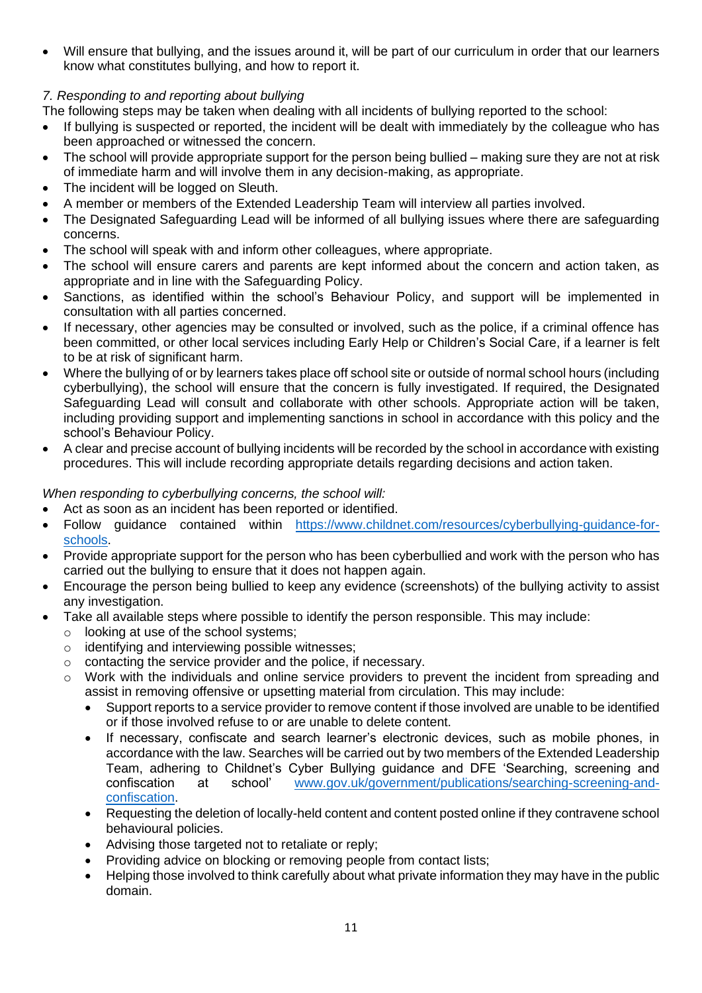• Will ensure that bullying, and the issues around it, will be part of our curriculum in order that our learners know what constitutes bullying, and how to report it.

## *7. Responding to and reporting about bullying*

The following steps may be taken when dealing with all incidents of bullying reported to the school:

- If bullying is suspected or reported, the incident will be dealt with immediately by the colleague who has been approached or witnessed the concern.
- The school will provide appropriate support for the person being bullied making sure they are not at risk of immediate harm and will involve them in any decision-making, as appropriate.
- The incident will be logged on Sleuth.
- A member or members of the Extended Leadership Team will interview all parties involved.
- The Designated Safeguarding Lead will be informed of all bullying issues where there are safeguarding concerns.
- The school will speak with and inform other colleagues, where appropriate.
- The school will ensure carers and parents are kept informed about the concern and action taken, as appropriate and in line with the Safeguarding Policy.
- Sanctions, as identified within the school's Behaviour Policy, and support will be implemented in consultation with all parties concerned.
- If necessary, other agencies may be consulted or involved, such as the police, if a criminal offence has been committed, or other local services including Early Help or Children's Social Care, if a learner is felt to be at risk of significant harm.
- Where the bullying of or by learners takes place off school site or outside of normal school hours (including cyberbullying), the school will ensure that the concern is fully investigated. If required, the Designated Safeguarding Lead will consult and collaborate with other schools. Appropriate action will be taken, including providing support and implementing sanctions in school in accordance with this policy and the school's Behaviour Policy.
- A clear and precise account of bullying incidents will be recorded by the school in accordance with existing procedures. This will include recording appropriate details regarding decisions and action taken.

## *When responding to cyberbullying concerns, the school will:*

- Act as soon as an incident has been reported or identified.
- Follow guidance contained within [https://www.childnet.com/resources/cyberbullying-guidance-for](https://www.childnet.com/resources/cyberbullying-guidance-for-schools)[schools.](https://www.childnet.com/resources/cyberbullying-guidance-for-schools)
- Provide appropriate support for the person who has been cyberbullied and work with the person who has carried out the bullying to ensure that it does not happen again.
- Encourage the person being bullied to keep any evidence (screenshots) of the bullying activity to assist any investigation.
- Take all available steps where possible to identify the person responsible. This may include:
	- o looking at use of the school systems;
	- o identifying and interviewing possible witnesses;
	- o contacting the service provider and the police, if necessary.
	- o Work with the individuals and online service providers to prevent the incident from spreading and assist in removing offensive or upsetting material from circulation. This may include:
		- Support reports to a service provider to remove content if those involved are unable to be identified or if those involved refuse to or are unable to delete content.
		- If necessary, confiscate and search learner's electronic devices, such as mobile phones, in accordance with the law. Searches will be carried out by two members of the Extended Leadership Team, adhering to Childnet's Cyber Bullying guidance and DFE 'Searching, screening and confiscation at school' [www.gov.uk/government/publications/searching-screening-and](http://www.gov.uk/government/publications/searching-screening-and-confiscation)[confiscation.](http://www.gov.uk/government/publications/searching-screening-and-confiscation)
		- Requesting the deletion of locally-held content and content posted online if they contravene school behavioural policies.
		- Advising those targeted not to retaliate or reply;
		- Providing advice on blocking or removing people from contact lists;
		- Helping those involved to think carefully about what private information they may have in the public domain.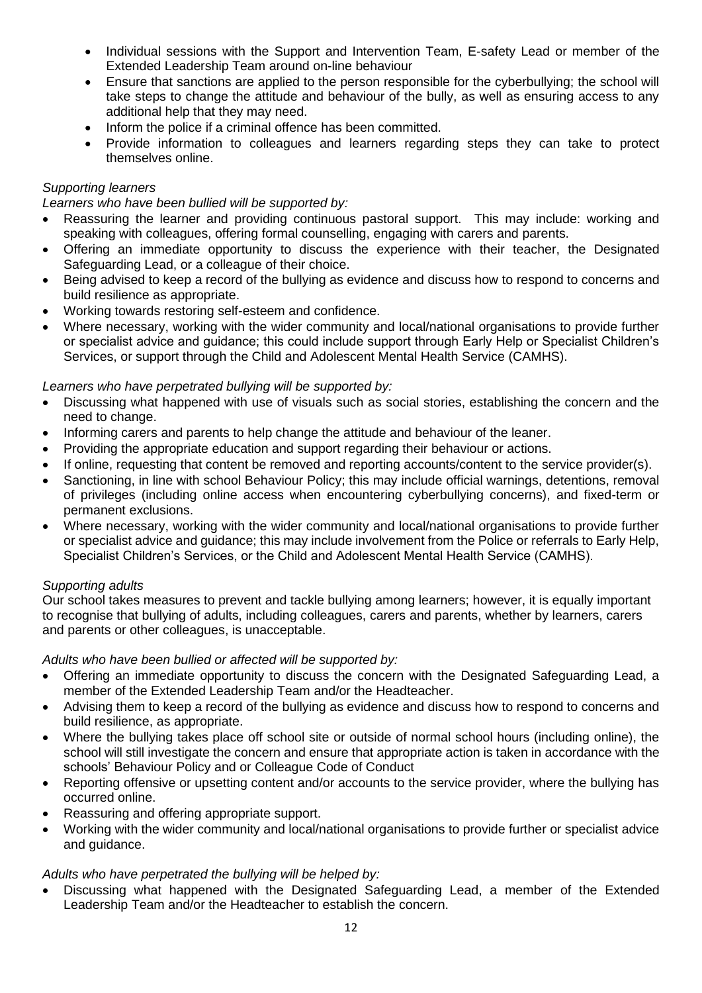- Individual sessions with the Support and Intervention Team, E-safety Lead or member of the Extended Leadership Team around on-line behaviour
- Ensure that sanctions are applied to the person responsible for the cyberbullying; the school will take steps to change the attitude and behaviour of the bully, as well as ensuring access to any additional help that they may need.
- Inform the police if a criminal offence has been committed.
- Provide information to colleagues and learners regarding steps they can take to protect themselves online.

## *Supporting learners*

*Learners who have been bullied will be supported by:* 

- Reassuring the learner and providing continuous pastoral support. This may include: working and speaking with colleagues, offering formal counselling, engaging with carers and parents.
- Offering an immediate opportunity to discuss the experience with their teacher, the Designated Safeguarding Lead, or a colleague of their choice.
- Being advised to keep a record of the bullying as evidence and discuss how to respond to concerns and build resilience as appropriate.
- Working towards restoring self-esteem and confidence.
- Where necessary, working with the wider community and local/national organisations to provide further or specialist advice and guidance; this could include support through Early Help or Specialist Children's Services, or support through the Child and Adolescent Mental Health Service (CAMHS).

## *Learners who have perpetrated bullying will be supported by:*

- Discussing what happened with use of visuals such as social stories, establishing the concern and the need to change.
- Informing carers and parents to help change the attitude and behaviour of the leaner.
- Providing the appropriate education and support regarding their behaviour or actions.
- If online, requesting that content be removed and reporting accounts/content to the service provider(s).
- Sanctioning, in line with school Behaviour Policy; this may include official warnings, detentions, removal of privileges (including online access when encountering cyberbullying concerns), and fixed-term or permanent exclusions.
- Where necessary, working with the wider community and local/national organisations to provide further or specialist advice and guidance; this may include involvement from the Police or referrals to Early Help, Specialist Children's Services, or the Child and Adolescent Mental Health Service (CAMHS).

## *Supporting adults*

Our school takes measures to prevent and tackle bullying among learners; however, it is equally important to recognise that bullying of adults, including colleagues, carers and parents, whether by learners, carers and parents or other colleagues, is unacceptable.

*Adults who have been bullied or affected will be supported by:* 

- Offering an immediate opportunity to discuss the concern with the Designated Safeguarding Lead, a member of the Extended Leadership Team and/or the Headteacher.
- Advising them to keep a record of the bullying as evidence and discuss how to respond to concerns and build resilience, as appropriate.
- Where the bullying takes place off school site or outside of normal school hours (including online), the school will still investigate the concern and ensure that appropriate action is taken in accordance with the schools' Behaviour Policy and or Colleague Code of Conduct
- Reporting offensive or upsetting content and/or accounts to the service provider, where the bullying has occurred online.
- Reassuring and offering appropriate support.
- Working with the wider community and local/national organisations to provide further or specialist advice and guidance.

## *Adults who have perpetrated the bullying will be helped by:*

• Discussing what happened with the Designated Safeguarding Lead, a member of the Extended Leadership Team and/or the Headteacher to establish the concern.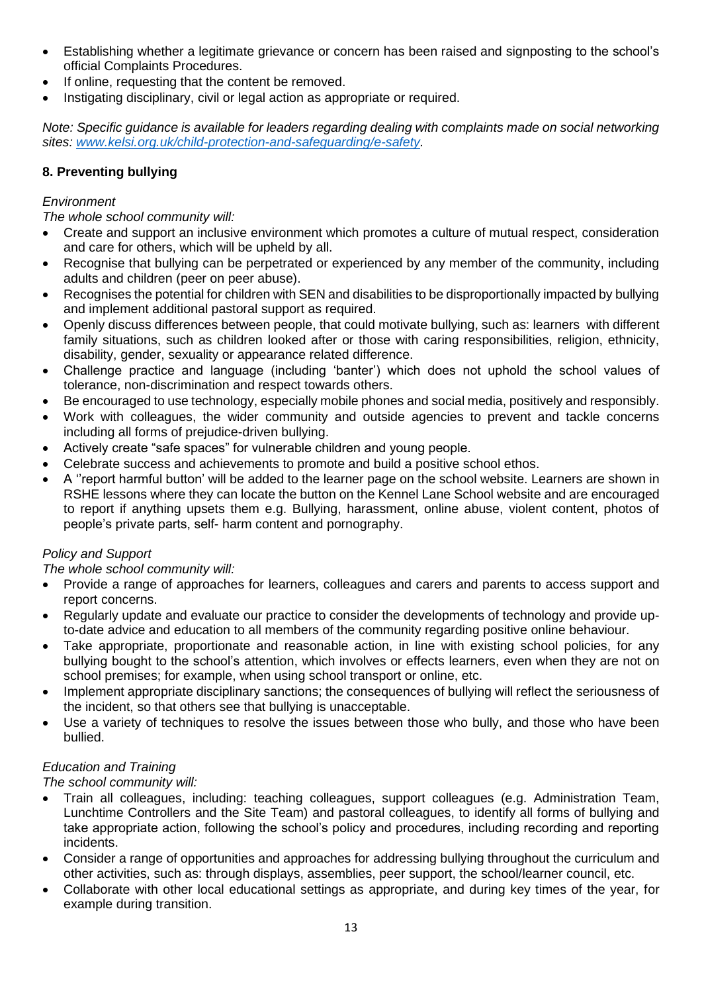- Establishing whether a legitimate grievance or concern has been raised and signposting to the school's official Complaints Procedures.
- If online, requesting that the content be removed.
- Instigating disciplinary, civil or legal action as appropriate or required.

*Note: Specific guidance is available for leaders regarding dealing with complaints made on social networking sites: [www.kelsi.org.uk/child-protection-and-safeguarding/e-safety.](http://www.kelsi.org.uk/child-protection-and-safeguarding/e-safety)* 

## **8. Preventing bullying**

## *Environment*

## *The whole school community will:*

- Create and support an inclusive environment which promotes a culture of mutual respect, consideration and care for others, which will be upheld by all.
- Recognise that bullying can be perpetrated or experienced by any member of the community, including adults and children (peer on peer abuse).
- Recognises the potential for children with SEN and disabilities to be disproportionally impacted by bullying and implement additional pastoral support as required.
- Openly discuss differences between people, that could motivate bullying, such as: learners with different family situations, such as children looked after or those with caring responsibilities, religion, ethnicity, disability, gender, sexuality or appearance related difference.
- Challenge practice and language (including 'banter') which does not uphold the school values of tolerance, non-discrimination and respect towards others.
- Be encouraged to use technology, especially mobile phones and social media, positively and responsibly.
- Work with colleagues, the wider community and outside agencies to prevent and tackle concerns including all forms of prejudice-driven bullying.
- Actively create "safe spaces" for vulnerable children and young people.
- Celebrate success and achievements to promote and build a positive school ethos.
- A ''report harmful button' will be added to the learner page on the school website. Learners are shown in RSHE lessons where they can locate the button on the Kennel Lane School website and are encouraged to report if anything upsets them e.g. Bullying, harassment, online abuse, violent content, photos of people's private parts, self- harm content and pornography.

## *Policy and Support*

*The whole school community will:* 

- Provide a range of approaches for learners, colleagues and carers and parents to access support and report concerns.
- Regularly update and evaluate our practice to consider the developments of technology and provide upto-date advice and education to all members of the community regarding positive online behaviour.
- Take appropriate, proportionate and reasonable action, in line with existing school policies, for any bullying bought to the school's attention, which involves or effects learners, even when they are not on school premises; for example, when using school transport or online, etc.
- Implement appropriate disciplinary sanctions; the consequences of bullying will reflect the seriousness of the incident, so that others see that bullying is unacceptable.
- Use a variety of techniques to resolve the issues between those who bully, and those who have been bullied.

## *Education and Training*

*The school community will:* 

- Train all colleagues, including: teaching colleagues, support colleagues (e.g. Administration Team, Lunchtime Controllers and the Site Team) and pastoral colleagues, to identify all forms of bullying and take appropriate action, following the school's policy and procedures, including recording and reporting incidents.
- Consider a range of opportunities and approaches for addressing bullying throughout the curriculum and other activities, such as: through displays, assemblies, peer support, the school/learner council, etc.
- Collaborate with other local educational settings as appropriate, and during key times of the year, for example during transition.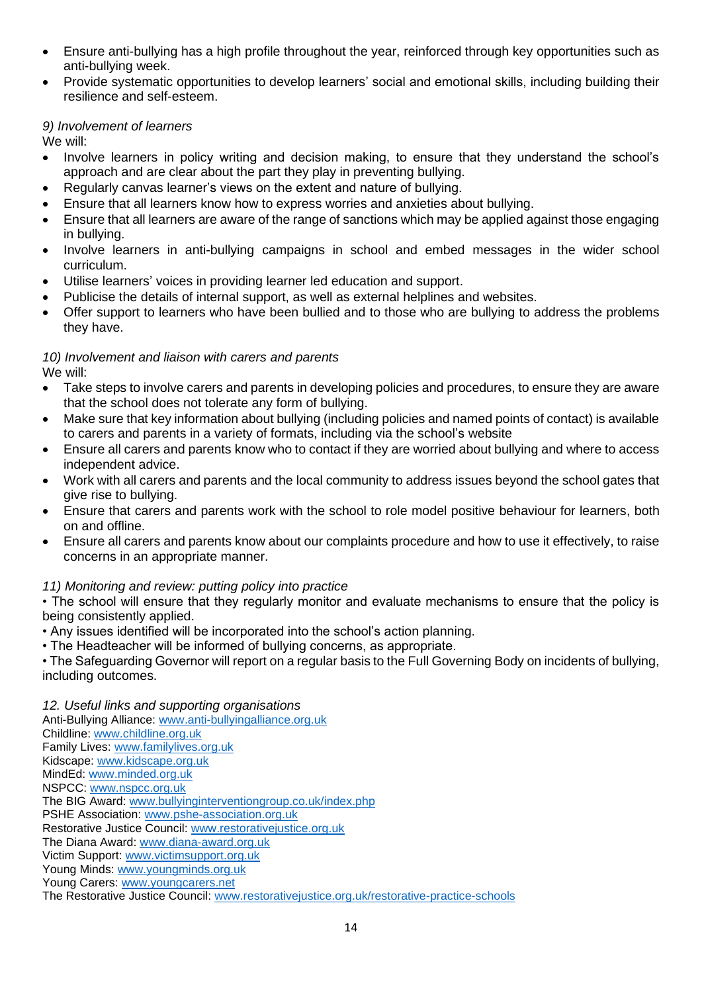- Ensure anti-bullying has a high profile throughout the year, reinforced through key opportunities such as anti-bullying week.
- Provide systematic opportunities to develop learners' social and emotional skills, including building their resilience and self-esteem.

## *9) Involvement of learners*

We will:

- Involve learners in policy writing and decision making, to ensure that they understand the school's approach and are clear about the part they play in preventing bullying.
- Regularly canvas learner's views on the extent and nature of bullying.
- Ensure that all learners know how to express worries and anxieties about bullying.
- Ensure that all learners are aware of the range of sanctions which may be applied against those engaging in bullying.
- Involve learners in anti-bullying campaigns in school and embed messages in the wider school curriculum.
- Utilise learners' voices in providing learner led education and support.
- Publicise the details of internal support, as well as external helplines and websites.
- Offer support to learners who have been bullied and to those who are bullying to address the problems they have.

#### *10) Involvement and liaison with carers and parents* We will:

- Take steps to involve carers and parents in developing policies and procedures, to ensure they are aware that the school does not tolerate any form of bullying.
- Make sure that key information about bullying (including policies and named points of contact) is available to carers and parents in a variety of formats, including via the school's website
- Ensure all carers and parents know who to contact if they are worried about bullying and where to access independent advice.
- Work with all carers and parents and the local community to address issues beyond the school gates that give rise to bullying.
- Ensure that carers and parents work with the school to role model positive behaviour for learners, both on and offline.
- Ensure all carers and parents know about our complaints procedure and how to use it effectively, to raise concerns in an appropriate manner.

## *11) Monitoring and review: putting policy into practice*

• The school will ensure that they regularly monitor and evaluate mechanisms to ensure that the policy is being consistently applied.

- Any issues identified will be incorporated into the school's action planning.
- The Headteacher will be informed of bullying concerns, as appropriate.

• The Safeguarding Governor will report on a regular basis to the Full Governing Body on incidents of bullying, including outcomes.

*12. Useful links and supporting organisations*  Anti-Bullying Alliance: [www.anti-bullyingalliance.org.uk](http://www.anti-bullyingalliance.org.uk/) Childline: [www.childline.org.uk](http://www.childline.org.uk/) Family Lives: [www.familylives.org.uk](http://www.familylives.org.uk/) Kidscape: [www.kidscape.org.uk](http://www.kidscape.org.uk/) MindEd: [www.minded.org.uk](http://www.minded.org.uk/) NSPCC: [www.nspcc.org.uk](http://www.nspcc.org.uk/) The BIG Award: [www.bullyinginterventiongroup.co.uk/index.php](http://www.bullyinginterventiongroup.co.uk/index.php) PSHE Association: [www.pshe-association.org.uk](http://www.pshe-association.org.uk/) Restorative Justice Council: [www.restorativejustice.org.uk](http://www.restorativejustice.org.uk/) The Diana Award: [www.diana-award.org.uk](http://www.diana-award.org.uk/) Victim Support: [www.victimsupport.org.uk](http://www.victimsupport.org.uk/) Young Minds: [www.youngminds.org.uk](http://www.youngminds.org.uk/) Young Carers: [www.youngcarers.net](http://www.youngcarers.net/) The Restorative Justice Council: [www.restorativejustice.org.uk/restorative-practice-schools](http://www.restorativejustice.org.uk/restorative-practice-schools)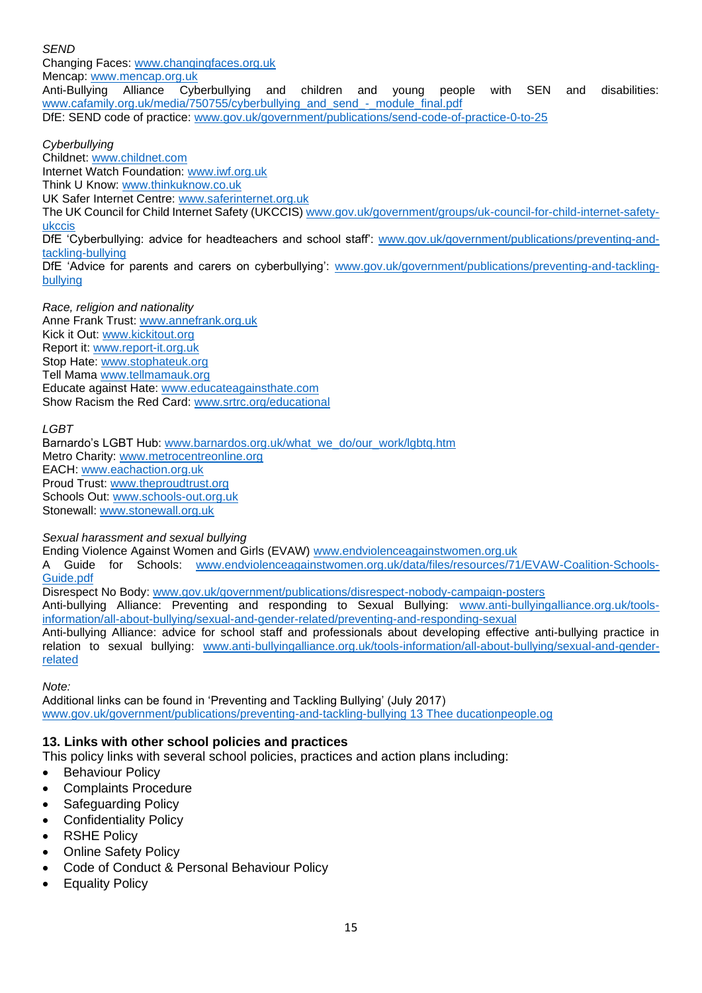*SEND*  Changing Faces: [www.changingfaces.org.uk](http://www.changingfaces.org.uk/) Mencap: [www.mencap.org.uk](http://www.mencap.org.uk/)<br>Anti-Bullving Alliance Cyberbullving Anti-Bullying Alliance Cyberbullying and children and young people with SEN and disabilities: [www.cafamily.org.uk/media/750755/cyberbullying\\_and\\_send\\_-\\_module\\_final.pdf](http://www.cafamily.org.uk/media/750755/cyberbullying_and_send_-_module_final.pdf) DfE: SEND code of practice: [www.gov.uk/government/publications/send-code-of-practice-0-to-25](http://www.gov.uk/government/publications/send-code-of-practice-0-to-25)

#### *Cyberbullying*

Childnet: [www.childnet.com](http://www.childnet.com/) Internet Watch Foundation: [www.iwf.org.uk](http://www.iwf.org.uk/) Think U Know: [www.thinkuknow.co.uk](http://www.thinkuknow.co.uk/) UK Safer Internet Centre: [www.saferinternet.org.uk](http://www.saferinternet.org.uk/) The UK Council for Child Internet Safety (UKCCIS[\) www.gov.uk/government/groups/uk-council-for-child-internet-safety](http://www.gov.uk/government/groups/uk-council-for-child-internet-safety-ukccis)[ukccis](http://www.gov.uk/government/groups/uk-council-for-child-internet-safety-ukccis) DfE 'Cyberbullying: advice for headteachers and school staff: [www.gov.uk/government/publications/preventing-and](http://www.gov.uk/government/publications/preventing-and-tackling-bullying)[tackling-bullying](http://www.gov.uk/government/publications/preventing-and-tackling-bullying) DfE 'Advice for parents and carers on cyberbullying': [www.gov.uk/government/publications/preventing-and-tackling](http://www.gov.uk/government/publications/preventing-and-tackling-bullying)[bullying](http://www.gov.uk/government/publications/preventing-and-tackling-bullying)

*Race, religion and nationality*  Anne Frank Trust: [www.annefrank.org.uk](http://www.annefrank.org.uk/) Kick it Out: [www.kickitout.org](http://www.kickitout.org/) Report it: [www.report-it.org.uk](http://www.report-it.org.uk/) Stop Hate: [www.stophateuk.org](http://www.stophateuk.org/) Tell Mama [www.tellmamauk.org](http://www.tellmamauk.org/) Educate against Hate: [www.educateagainsthate.com](http://www.educateagainsthate.com/) Show Racism the Red Card: [www.srtrc.org/educational](http://www.srtrc.org/educational)

#### *LGBT*

Barnardo's LGBT Hub: [www.barnardos.org.uk/what\\_we\\_do/our\\_work/lgbtq.htm](http://www.barnardos.org.uk/what_we_do/our_work/lgbtq.htm) Metro Charity: [www.metrocentreonline.org](http://www.metrocentreonline.org/) EACH: [www.eachaction.org.uk](http://www.eachaction.org.uk/) Proud Trust: [www.theproudtrust.org](http://www.theproudtrust.org/) Schools Out: [www.schools-out.org.uk](http://www.schools-out.org.uk/) Stonewall: [www.stonewall.org.uk](http://www.stonewall.org.uk/)

#### *Sexual harassment and sexual bullying*

Ending Violence Against Women and Girls (EVAW) [www.endviolenceagainstwomen.org.uk](http://www.endviolenceagainstwomen.org.uk/)

A Guide for Schools: [www.endviolenceagainstwomen.org.uk/data/files/resources/71/EVAW-Coalition-Schools-](http://www.endviolenceagainstwomen.org.uk/data/files/resources/71/EVAW-Coalition-Schools-Guide.pdf)[Guide.pdf](http://www.endviolenceagainstwomen.org.uk/data/files/resources/71/EVAW-Coalition-Schools-Guide.pdf)

Disrespect No Body: [www.gov.uk/government/publications/disrespect-nobody-campaign-posters](http://www.gov.uk/government/publications/disrespect-nobody-campaign-posters)

Anti-bullying Alliance: Preventing and responding to Sexual Bullying: [www.anti-bullyingalliance.org.uk/tools](http://www.anti-bullyingalliance.org.uk/tools-information/all-about-bullying/sexual-and-gender-related/preventing-and-responding-sexual)[information/all-about-bullying/sexual-and-gender-related/preventing-and-responding-sexual](http://www.anti-bullyingalliance.org.uk/tools-information/all-about-bullying/sexual-and-gender-related/preventing-and-responding-sexual)

Anti-bullying Alliance: advice for school staff and professionals about developing effective anti-bullying practice in relation to sexual bullying: [www.anti-bullyingalliance.org.uk/tools-information/all-about-bullying/sexual-and-gender](http://www.anti-bullyingalliance.org.uk/tools-information/all-about-bullying/sexual-and-gender-related)[related](http://www.anti-bullyingalliance.org.uk/tools-information/all-about-bullying/sexual-and-gender-related)

*Note:* 

Additional links can be found in 'Preventing and Tackling Bullying' (July 2017) [www.gov.uk/government/publications/preventing-and-tackling-bullying 13 Thee ducationpeople.og](http://www.gov.uk/government/publications/preventing-and-tackling-bullying%2013%20Thee%20ducationpeople.og)

## **13. Links with other school policies and practices**

This policy links with several school policies, practices and action plans including:

- **Behaviour Policy**
- Complaints Procedure
- Safeguarding Policy
- Confidentiality Policy
- **RSHE Policy**
- **Online Safety Policy**
- Code of Conduct & Personal Behaviour Policy
- **Equality Policy**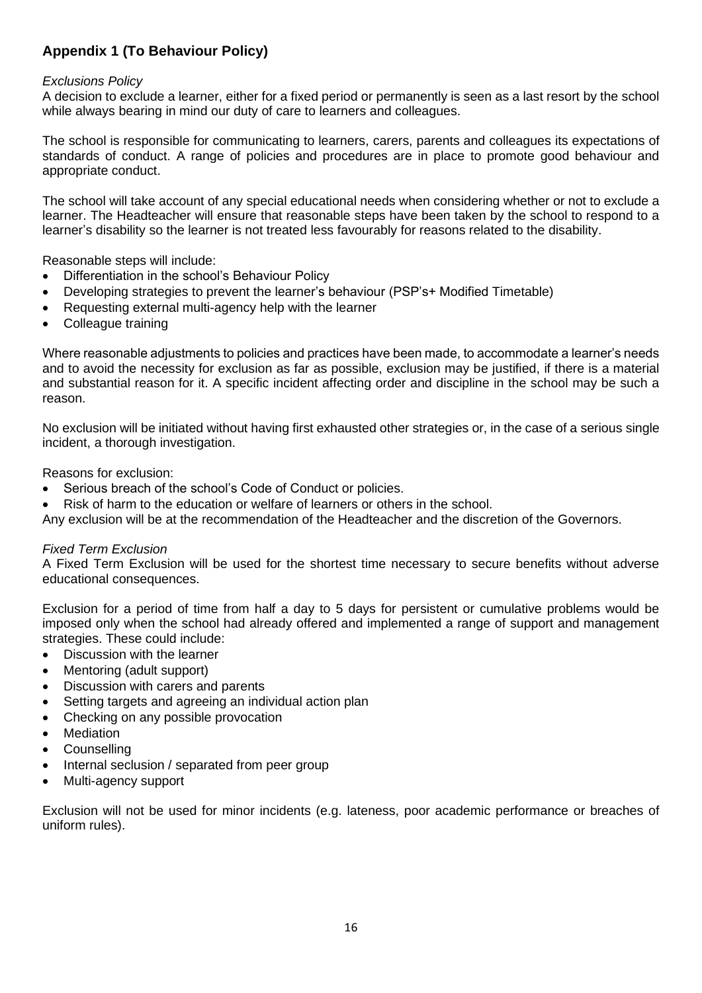## **Appendix 1 (To Behaviour Policy)**

## *Exclusions Policy*

A decision to exclude a learner, either for a fixed period or permanently is seen as a last resort by the school while always bearing in mind our duty of care to learners and colleagues.

The school is responsible for communicating to learners, carers, parents and colleagues its expectations of standards of conduct. A range of policies and procedures are in place to promote good behaviour and appropriate conduct.

The school will take account of any special educational needs when considering whether or not to exclude a learner. The Headteacher will ensure that reasonable steps have been taken by the school to respond to a learner's disability so the learner is not treated less favourably for reasons related to the disability.

Reasonable steps will include:

- Differentiation in the school's Behaviour Policy
- Developing strategies to prevent the learner's behaviour (PSP's+ Modified Timetable)
- Requesting external multi-agency help with the learner
- Colleague training

Where reasonable adjustments to policies and practices have been made, to accommodate a learner's needs and to avoid the necessity for exclusion as far as possible, exclusion may be justified, if there is a material and substantial reason for it. A specific incident affecting order and discipline in the school may be such a reason.

No exclusion will be initiated without having first exhausted other strategies or, in the case of a serious single incident, a thorough investigation.

Reasons for exclusion:

- Serious breach of the school's Code of Conduct or policies.
- Risk of harm to the education or welfare of learners or others in the school.

Any exclusion will be at the recommendation of the Headteacher and the discretion of the Governors.

## *Fixed Term Exclusion*

A Fixed Term Exclusion will be used for the shortest time necessary to secure benefits without adverse educational consequences.

Exclusion for a period of time from half a day to 5 days for persistent or cumulative problems would be imposed only when the school had already offered and implemented a range of support and management strategies. These could include:

- Discussion with the learner
- Mentoring (adult support)
- Discussion with carers and parents
- Setting targets and agreeing an individual action plan
- Checking on any possible provocation
- **Mediation**
- Counselling
- Internal seclusion / separated from peer group
- Multi-agency support

Exclusion will not be used for minor incidents (e.g. lateness, poor academic performance or breaches of uniform rules).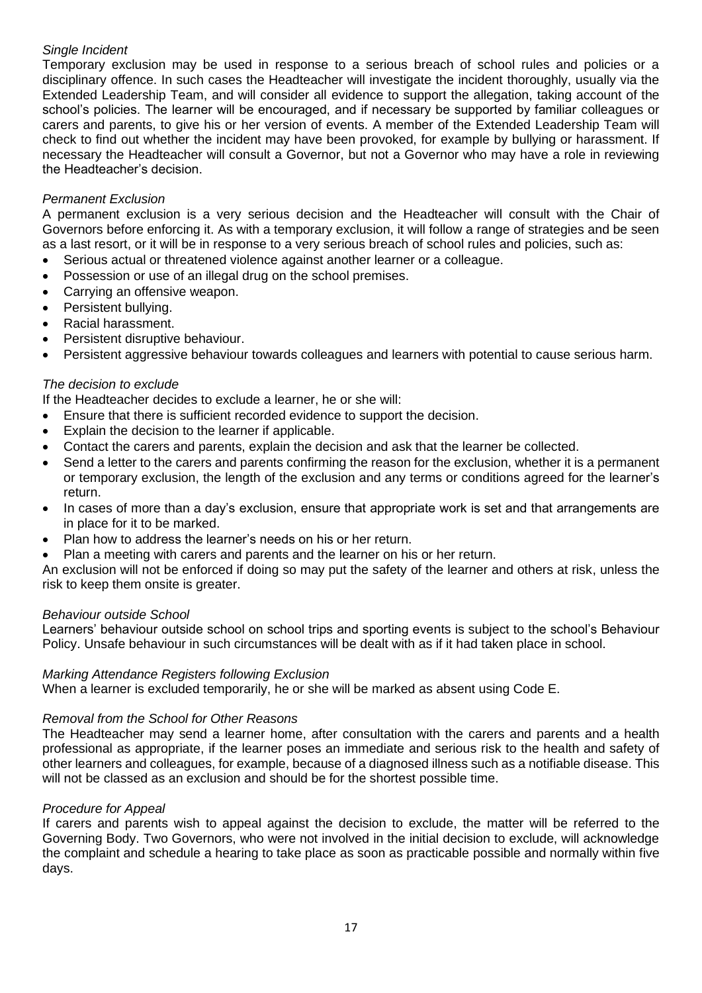## *Single Incident*

Temporary exclusion may be used in response to a serious breach of school rules and policies or a disciplinary offence. In such cases the Headteacher will investigate the incident thoroughly, usually via the Extended Leadership Team, and will consider all evidence to support the allegation, taking account of the school's policies. The learner will be encouraged, and if necessary be supported by familiar colleagues or carers and parents, to give his or her version of events. A member of the Extended Leadership Team will check to find out whether the incident may have been provoked, for example by bullying or harassment. If necessary the Headteacher will consult a Governor, but not a Governor who may have a role in reviewing the Headteacher's decision.

## *Permanent Exclusion*

A permanent exclusion is a very serious decision and the Headteacher will consult with the Chair of Governors before enforcing it. As with a temporary exclusion, it will follow a range of strategies and be seen as a last resort, or it will be in response to a very serious breach of school rules and policies, such as:

- Serious actual or threatened violence against another learner or a colleague.
- Possession or use of an illegal drug on the school premises.
- Carrying an offensive weapon.
- Persistent bullving.
- Racial harassment.
- Persistent disruptive behaviour.
- Persistent aggressive behaviour towards colleagues and learners with potential to cause serious harm.

## *The decision to exclude*

If the Headteacher decides to exclude a learner, he or she will:

- Ensure that there is sufficient recorded evidence to support the decision.
- Explain the decision to the learner if applicable.
- Contact the carers and parents, explain the decision and ask that the learner be collected.
- Send a letter to the carers and parents confirming the reason for the exclusion, whether it is a permanent or temporary exclusion, the length of the exclusion and any terms or conditions agreed for the learner's return.
- In cases of more than a day's exclusion, ensure that appropriate work is set and that arrangements are in place for it to be marked.
- Plan how to address the learner's needs on his or her return.
- Plan a meeting with carers and parents and the learner on his or her return.

An exclusion will not be enforced if doing so may put the safety of the learner and others at risk, unless the risk to keep them onsite is greater.

## *Behaviour outside School*

Learners' behaviour outside school on school trips and sporting events is subject to the school's Behaviour Policy. Unsafe behaviour in such circumstances will be dealt with as if it had taken place in school.

## *Marking Attendance Registers following Exclusion*

When a learner is excluded temporarily, he or she will be marked as absent using Code E.

## *Removal from the School for Other Reasons*

The Headteacher may send a learner home, after consultation with the carers and parents and a health professional as appropriate, if the learner poses an immediate and serious risk to the health and safety of other learners and colleagues, for example, because of a diagnosed illness such as a notifiable disease. This will not be classed as an exclusion and should be for the shortest possible time.

## *Procedure for Appeal*

If carers and parents wish to appeal against the decision to exclude, the matter will be referred to the Governing Body. Two Governors, who were not involved in the initial decision to exclude, will acknowledge the complaint and schedule a hearing to take place as soon as practicable possible and normally within five days.